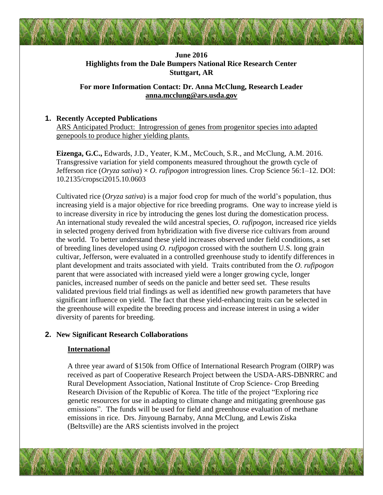# **June 2016 Highlights from the Dale Bumpers National Rice Research Center Stuttgart, AR**

### **For more Information Contact: Dr. Anna McClung, Research Leader [anna.mcclung@ars.usda.gov](mailto:anna.mcclung@ars.usda.gov)**

### **1. Recently Accepted Publications**

ARS Anticipated Product: Introgression of genes from progenitor species into adapted genepools to produce higher yielding plants.

**Eizenga, G.C.,** Edwards, J.D., Yeater, K.M., McCouch, S.R., and McClung, A.M. 2016. Transgressive variation for yield components measured throughout the growth cycle of Jefferson rice (*Oryza sativa*) × *O. rufipogon* introgression lines. Crop Science 56:1–12. DOI: 10.2135/cropsci2015.10.0603

Cultivated rice (*Oryza sativa*) is a major food crop for much of the world's population, thus increasing yield is a major objective for rice breeding programs. One way to increase yield is to increase diversity in rice by introducing the genes lost during the domestication process. An international study revealed the wild ancestral species, *O. rufipogon*, increased rice yields in selected progeny derived from hybridization with five diverse rice cultivars from around the world. To better understand these yield increases observed under field conditions, a set of breeding lines developed using *O. rufipogon* crossed with the southern U.S. long grain cultivar, Jefferson, were evaluated in a controlled greenhouse study to identify differences in plant development and traits associated with yield. Traits contributed from the *O. rufipogon* parent that were associated with increased yield were a longer growing cycle, longer panicles, increased number of seeds on the panicle and better seed set. These results validated previous field trial findings as well as identified new growth parameters that have significant influence on yield. The fact that these yield-enhancing traits can be selected in the greenhouse will expedite the breeding process and increase interest in using a wider diversity of parents for breeding.

#### **2. New Significant Research Collaborations**

#### **International**

A three year award of \$150k from Office of International Research Program (OIRP) was received as part of Cooperative Research Project between the USDA-ARS-DBNRRC and Rural Development Association, National Institute of Crop Science- Crop Breeding Research Division of the Republic of Korea. The title of the project "Exploring rice genetic resources for use in adapting to climate change and mitigating greenhouse gas emissions". The funds will be used for field and greenhouse evaluation of methane emissions in rice. Drs. Jinyoung Barnaby, Anna McClung, and Lewis Ziska (Beltsville) are the ARS scientists involved in the project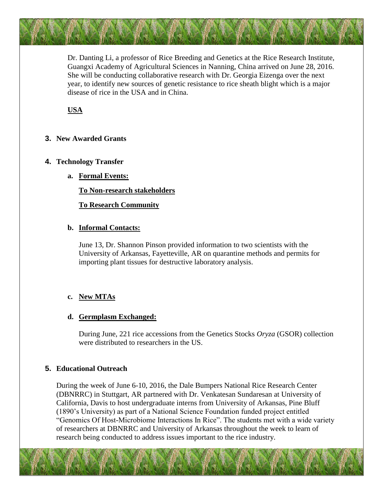Dr. Danting Li, a professor of Rice Breeding and Genetics at the Rice Research Institute, Guangxi Academy of Agricultural Sciences in Nanning, China arrived on June 28, 2016. She will be conducting collaborative research with Dr. Georgia Eizenga over the next year, to identify new sources of genetic resistance to rice sheath blight which is a major disease of rice in the USA and in China.

## **USA**

#### **3. New Awarded Grants**

#### **4. Technology Transfer**

**a. Formal Events:**

**To Non-research stakeholders**

**To Research Community**

#### **b. Informal Contacts:**

June 13, Dr. Shannon Pinson provided information to two scientists with the University of Arkansas, Fayetteville, AR on quarantine methods and permits for importing plant tissues for destructive laboratory analysis.

#### **c. New MTAs**

#### **d. Germplasm Exchanged:**

During June, 221 rice accessions from the Genetics Stocks *Oryza* (GSOR) collection were distributed to researchers in the US.

#### **5. Educational Outreach**

During the week of June 6-10, 2016, the Dale Bumpers National Rice Research Center (DBNRRC) in Stuttgart, AR partnered with Dr. Venkatesan Sundaresan at University of California, Davis to host undergraduate interns from University of Arkansas, Pine Bluff (1890's University) as part of a National Science Foundation funded project entitled "Genomics Of Host-Microbiome Interactions In Rice". The students met with a wide variety of researchers at DBNRRC and University of Arkansas throughout the week to learn of research being conducted to address issues important to the rice industry.